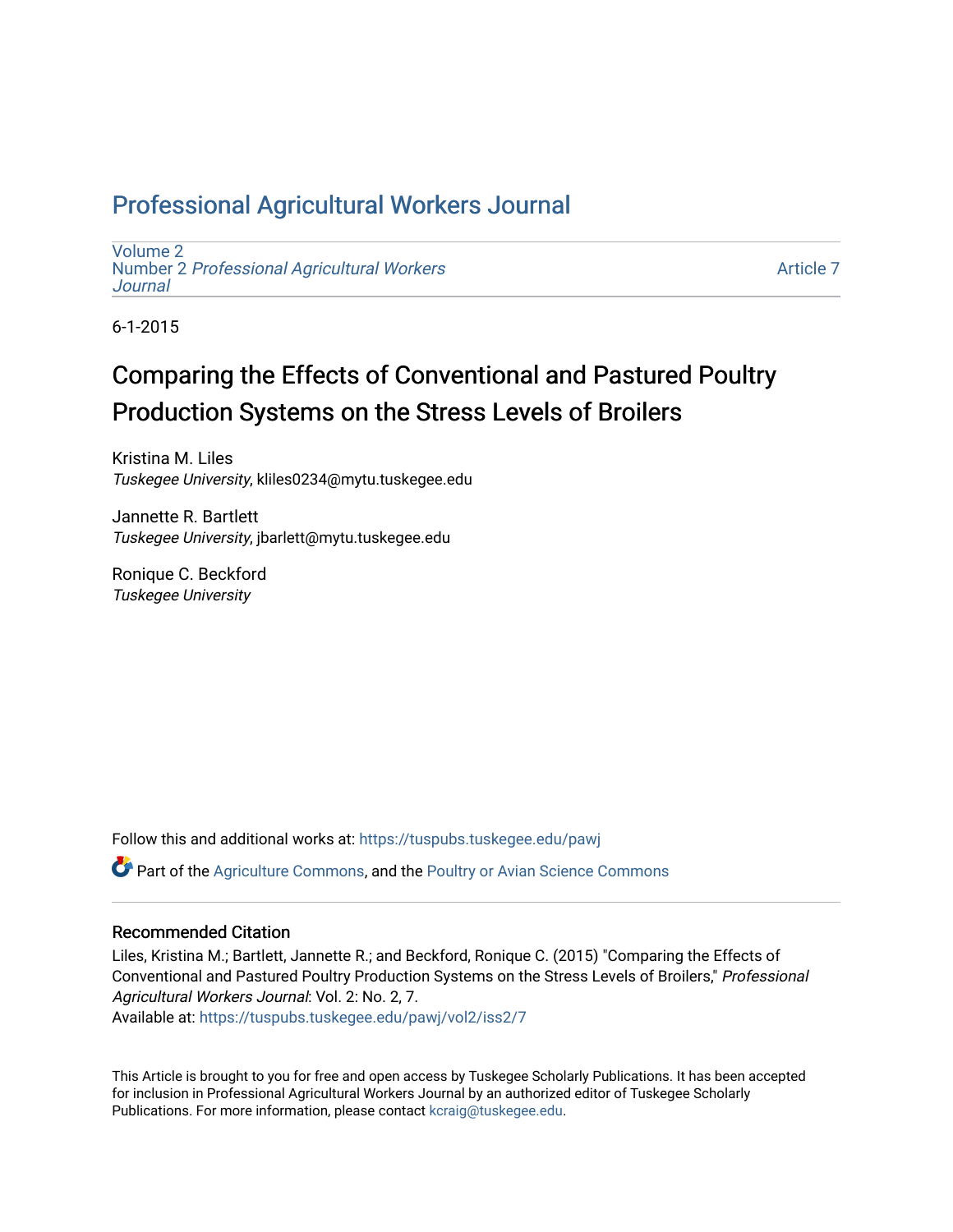## Professional Agricultural Workers Journal

[Volume 2](https://tuspubs.tuskegee.edu/pawj/vol2) Number 2 [Professional Agricultural Workers](https://tuspubs.tuskegee.edu/pawj/vol2/iss2)  **Journal** 

[Article 7](https://tuspubs.tuskegee.edu/pawj/vol2/iss2/7) 

6-1-2015

# Comparing the Effects of Conventional and Pastured Poultry Production Systems on the Stress Levels of Broilers

Kristina M. Liles Tuskegee University, kliles0234@mytu.tuskegee.edu

Jannette R. Bartlett Tuskegee University, jbarlett@mytu.tuskegee.edu

Ronique C. Beckford Tuskegee University

Follow this and additional works at: [https://tuspubs.tuskegee.edu/pawj](https://tuspubs.tuskegee.edu/pawj?utm_source=tuspubs.tuskegee.edu%2Fpawj%2Fvol2%2Fiss2%2F7&utm_medium=PDF&utm_campaign=PDFCoverPages)

Part of the [Agriculture Commons](http://network.bepress.com/hgg/discipline/1076?utm_source=tuspubs.tuskegee.edu%2Fpawj%2Fvol2%2Fiss2%2F7&utm_medium=PDF&utm_campaign=PDFCoverPages), and the [Poultry or Avian Science Commons](http://network.bepress.com/hgg/discipline/80?utm_source=tuspubs.tuskegee.edu%2Fpawj%2Fvol2%2Fiss2%2F7&utm_medium=PDF&utm_campaign=PDFCoverPages)

## Recommended Citation

Liles, Kristina M.; Bartlett, Jannette R.; and Beckford, Ronique C. (2015) "Comparing the Effects of Conventional and Pastured Poultry Production Systems on the Stress Levels of Broilers," Professional Agricultural Workers Journal: Vol. 2: No. 2, 7.

Available at: [https://tuspubs.tuskegee.edu/pawj/vol2/iss2/7](https://tuspubs.tuskegee.edu/pawj/vol2/iss2/7?utm_source=tuspubs.tuskegee.edu%2Fpawj%2Fvol2%2Fiss2%2F7&utm_medium=PDF&utm_campaign=PDFCoverPages)

This Article is brought to you for free and open access by Tuskegee Scholarly Publications. It has been accepted for inclusion in Professional Agricultural Workers Journal by an authorized editor of Tuskegee Scholarly Publications. For more information, please contact [kcraig@tuskegee.edu.](mailto:kcraig@tuskegee.edu)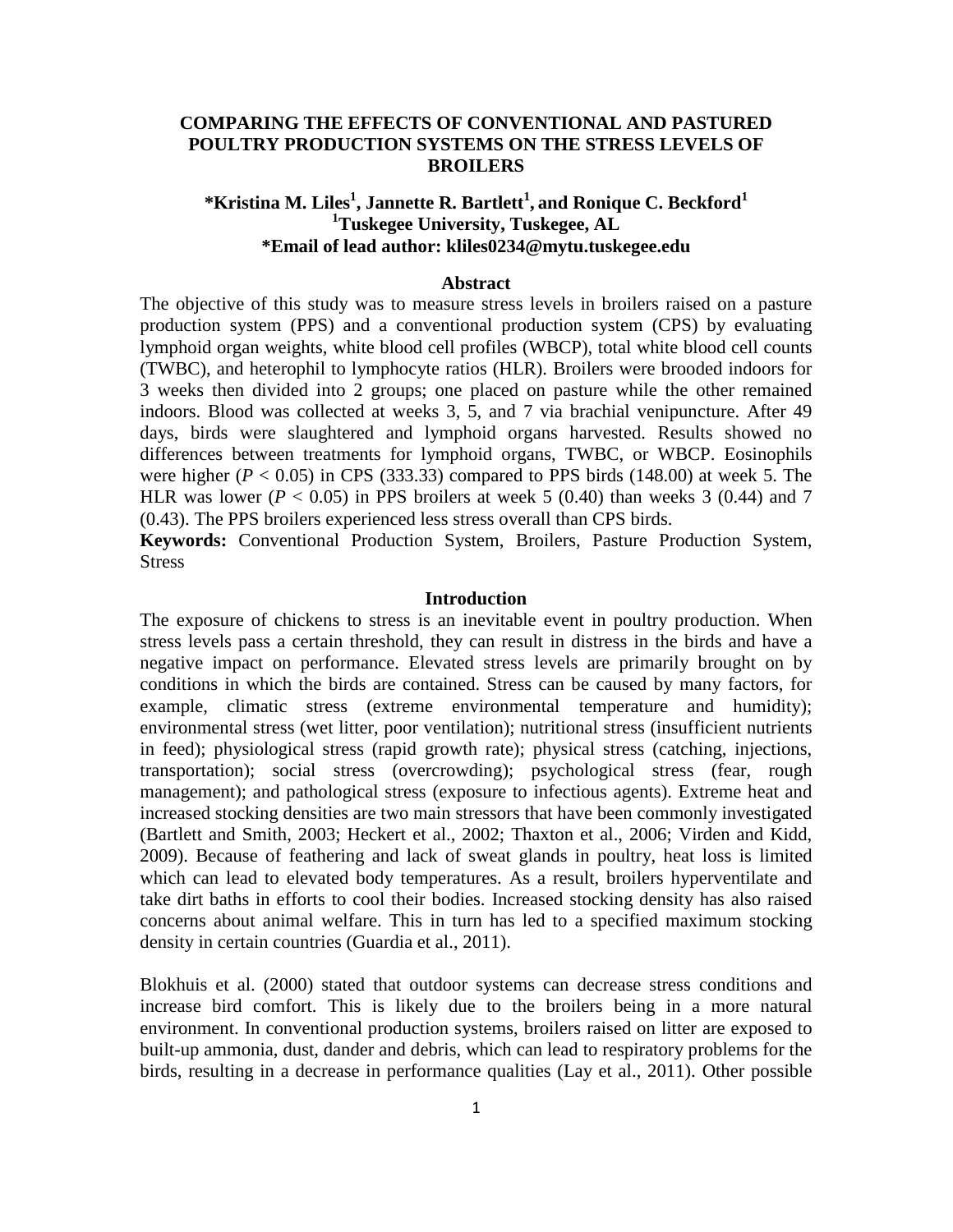## **COMPARING THE EFFECTS OF CONVENTIONAL AND PASTURED POULTRY PRODUCTION SYSTEMS ON THE STRESS LEVELS OF BROILERS**

## $^*$ Kristina M. Liles<sup>1</sup>, Jannette R. Bartlett<sup>1</sup>, and Ronique C. Beckford<sup>1</sup> **1 Tuskegee University, Tuskegee, AL \*Email of lead author: [kliles0234@mytu.tuskegee.edu](mailto:kliles0234@mytu.tuskegee.edu)**

## **Abstract**

The objective of this study was to measure stress levels in broilers raised on a pasture production system (PPS) and a conventional production system (CPS) by evaluating lymphoid organ weights, white blood cell profiles (WBCP), total white blood cell counts (TWBC), and heterophil to lymphocyte ratios (HLR). Broilers were brooded indoors for 3 weeks then divided into 2 groups; one placed on pasture while the other remained indoors. Blood was collected at weeks 3, 5, and 7 via brachial venipuncture. After 49 days, birds were slaughtered and lymphoid organs harvested. Results showed no differences between treatments for lymphoid organs, TWBC, or WBCP. Eosinophils were higher ( $P < 0.05$ ) in CPS (333.33) compared to PPS birds (148.00) at week 5. The HLR was lower ( $P < 0.05$ ) in PPS broilers at week 5 (0.40) than weeks 3 (0.44) and 7 (0.43). The PPS broilers experienced less stress overall than CPS birds.

**Keywords:** Conventional Production System, Broilers, Pasture Production System, Stress

## **Introduction**

The exposure of chickens to stress is an inevitable event in poultry production. When stress levels pass a certain threshold, they can result in distress in the birds and have a negative impact on performance. Elevated stress levels are primarily brought on by conditions in which the birds are contained. Stress can be caused by many factors, for example, climatic stress (extreme environmental temperature and humidity); environmental stress (wet litter, poor ventilation); nutritional stress (insufficient nutrients in feed); physiological stress (rapid growth rate); physical stress (catching, injections, transportation); social stress (overcrowding); psychological stress (fear, rough management); and pathological stress (exposure to infectious agents). Extreme heat and increased stocking densities are two main stressors that have been commonly investigated (Bartlett and Smith, 2003; Heckert et al., 2002; Thaxton et al., 2006; Virden and Kidd, 2009). Because of feathering and lack of sweat glands in poultry, heat loss is limited which can lead to elevated body temperatures. As a result, broilers hyperventilate and take dirt baths in efforts to cool their bodies. Increased stocking density has also raised concerns about animal welfare. This in turn has led to a specified maximum stocking density in certain countries (Guardia et al., 2011).

Blokhuis et al. (2000) stated that outdoor systems can decrease stress conditions and increase bird comfort. This is likely due to the broilers being in a more natural environment. In conventional production systems, broilers raised on litter are exposed to built-up ammonia, dust, dander and debris, which can lead to respiratory problems for the birds, resulting in a decrease in performance qualities (Lay et al., 2011). Other possible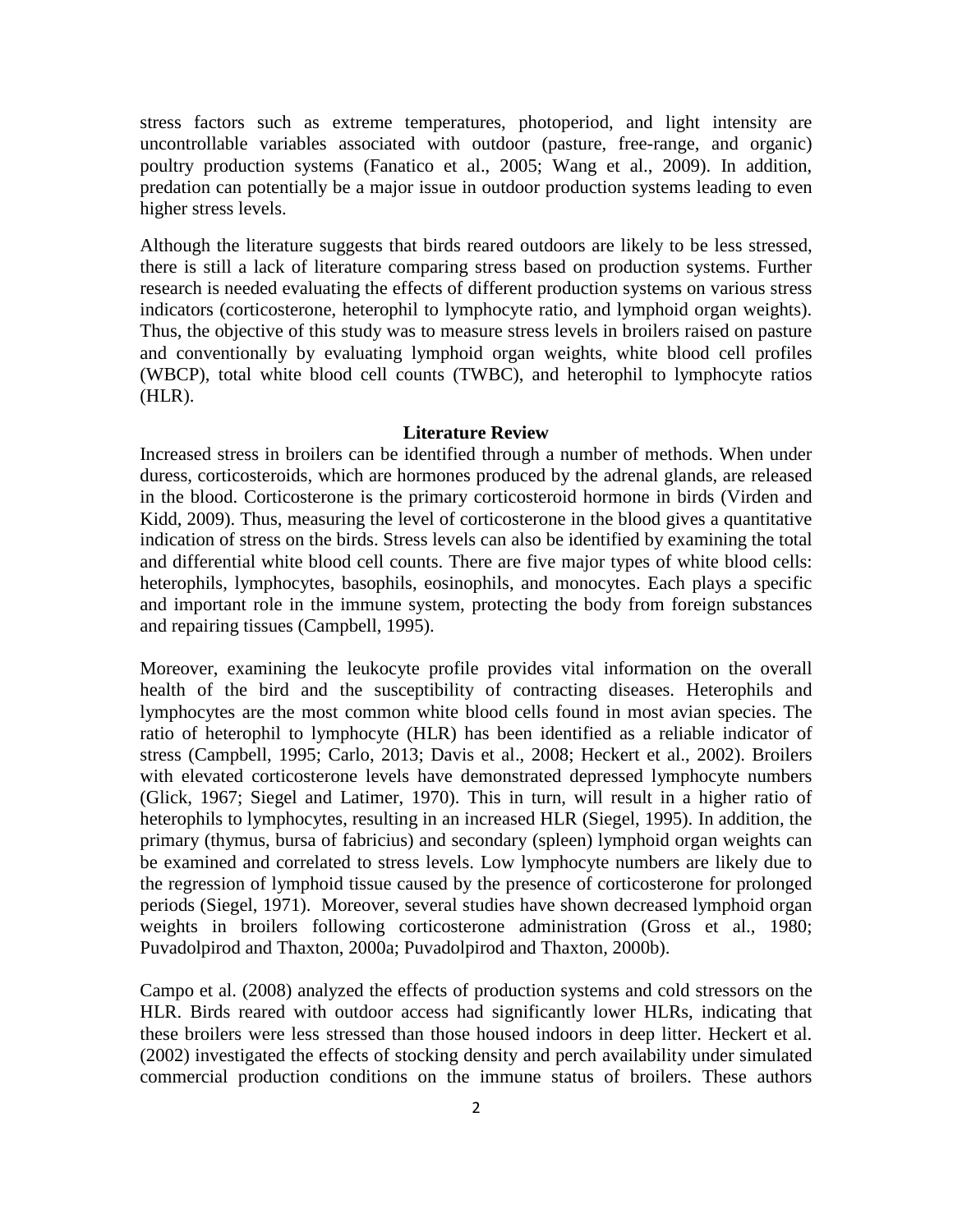stress factors such as extreme temperatures, photoperiod, and light intensity are uncontrollable variables associated with outdoor (pasture, free-range, and organic) poultry production systems (Fanatico et al., 2005; Wang et al., 2009). In addition, predation can potentially be a major issue in outdoor production systems leading to even higher stress levels.

Although the literature suggests that birds reared outdoors are likely to be less stressed, there is still a lack of literature comparing stress based on production systems. Further research is needed evaluating the effects of different production systems on various stress indicators (corticosterone, heterophil to lymphocyte ratio, and lymphoid organ weights). Thus, the objective of this study was to measure stress levels in broilers raised on pasture and conventionally by evaluating lymphoid organ weights, white blood cell profiles (WBCP), total white blood cell counts (TWBC), and heterophil to lymphocyte ratios (HLR).

## **Literature Review**

Increased stress in broilers can be identified through a number of methods. When under duress, corticosteroids, which are hormones produced by the adrenal glands, are released in the blood. Corticosterone is the primary corticosteroid hormone in birds (Virden and Kidd, 2009). Thus, measuring the level of corticosterone in the blood gives a quantitative indication of stress on the birds. Stress levels can also be identified by examining the total and differential white blood cell counts. There are five major types of white blood cells: heterophils, lymphocytes, basophils, eosinophils, and monocytes. Each plays a specific and important role in the immune system, protecting the body from foreign substances and repairing tissues (Campbell, 1995).

Moreover, examining the leukocyte profile provides vital information on the overall health of the bird and the susceptibility of contracting diseases. Heterophils and lymphocytes are the most common white blood cells found in most avian species. The ratio of heterophil to lymphocyte (HLR) has been identified as a reliable indicator of stress (Campbell, 1995; Carlo, 2013; Davis et al., 2008; Heckert et al., 2002). Broilers with elevated corticosterone levels have demonstrated depressed lymphocyte numbers (Glick, 1967; Siegel and Latimer, 1970). This in turn, will result in a higher ratio of heterophils to lymphocytes, resulting in an increased HLR (Siegel, 1995). In addition, the primary (thymus, bursa of fabricius) and secondary (spleen) lymphoid organ weights can be examined and correlated to stress levels. Low lymphocyte numbers are likely due to the regression of lymphoid tissue caused by the presence of corticosterone for prolonged periods (Siegel, 1971). Moreover, several studies have shown decreased lymphoid organ weights in broilers following corticosterone administration (Gross et al., 1980; Puvadolpirod and Thaxton, 2000a; Puvadolpirod and Thaxton, 2000b).

Campo et al. (2008) analyzed the effects of production systems and cold stressors on the HLR. Birds reared with outdoor access had significantly lower HLRs, indicating that these broilers were less stressed than those housed indoors in deep litter. Heckert et al. (2002) investigated the effects of stocking density and perch availability under simulated commercial production conditions on the immune status of broilers. These authors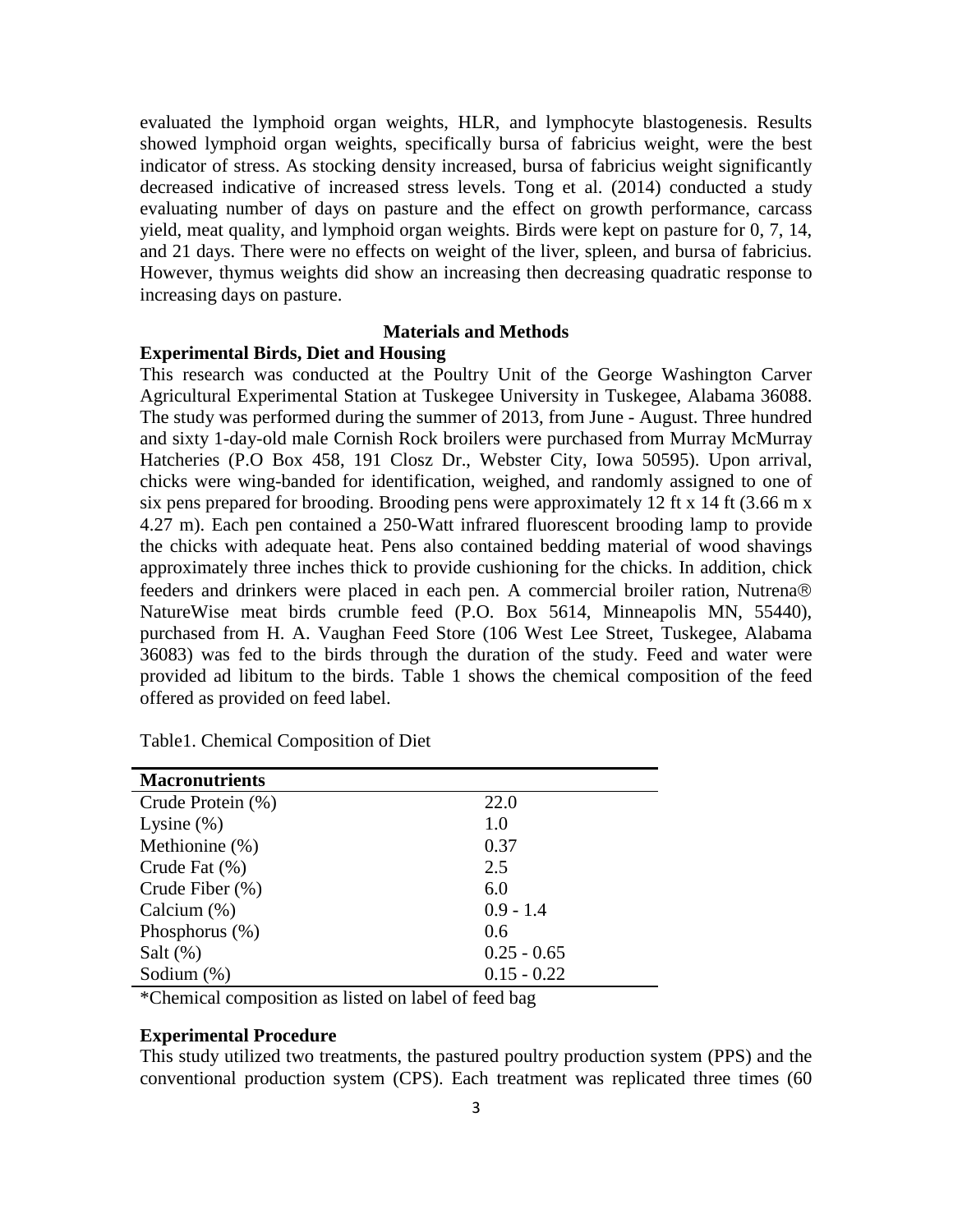evaluated the lymphoid organ weights, HLR, and lymphocyte blastogenesis. Results showed lymphoid organ weights, specifically bursa of fabricius weight, were the best indicator of stress. As stocking density increased, bursa of fabricius weight significantly decreased indicative of increased stress levels. Tong et al. (2014) conducted a study evaluating number of days on pasture and the effect on growth performance, carcass yield, meat quality, and lymphoid organ weights. Birds were kept on pasture for 0, 7, 14, and 21 days. There were no effects on weight of the liver, spleen, and bursa of fabricius. However, thymus weights did show an increasing then decreasing quadratic response to increasing days on pasture.

## **Materials and Methods**

## **Experimental Birds, Diet and Housing**

This research was conducted at the Poultry Unit of the George Washington Carver Agricultural Experimental Station at Tuskegee University in Tuskegee, Alabama 36088. The study was performed during the summer of 2013, from June - August. Three hundred and sixty 1-day-old male Cornish Rock broilers were purchased from Murray McMurray Hatcheries (P.O Box 458, 191 Closz Dr., Webster City, Iowa 50595). Upon arrival, chicks were wing-banded for identification, weighed, and randomly assigned to one of six pens prepared for brooding. Brooding pens were approximately 12 ft x 14 ft (3.66 m x 4.27 m). Each pen contained a 250-Watt infrared fluorescent brooding lamp to provide the chicks with adequate heat. Pens also contained bedding material of wood shavings approximately three inches thick to provide cushioning for the chicks. In addition, chick feeders and drinkers were placed in each pen. A commercial broiler ration, Nutrena NatureWise meat birds crumble feed (P.O. Box 5614, Minneapolis MN, 55440), purchased from H. A. Vaughan Feed Store (106 West Lee Street, Tuskegee, Alabama 36083) was fed to the birds through the duration of the study. Feed and water were provided ad libitum to the birds. Table 1 shows the chemical composition of the feed offered as provided on feed label.

| <b>Macronutrients</b> |               |
|-----------------------|---------------|
| Crude Protein (%)     | 22.0          |
| Lysine $(\%)$         | 1.0           |
| Methionine (%)        | 0.37          |
| Crude Fat (%)         | 2.5           |
| Crude Fiber $(\%)$    | 6.0           |
| Calcium (%)           | $0.9 - 1.4$   |
| Phosphorus $(\%)$     | 0.6           |
| Salt $(\%)$           | $0.25 - 0.65$ |
| Sodium $(\%)$         | $0.15 - 0.22$ |

Table1. Chemical Composition of Diet

\*Chemical composition as listed on label of feed bag

## **Experimental Procedure**

This study utilized two treatments, the pastured poultry production system (PPS) and the conventional production system (CPS). Each treatment was replicated three times (60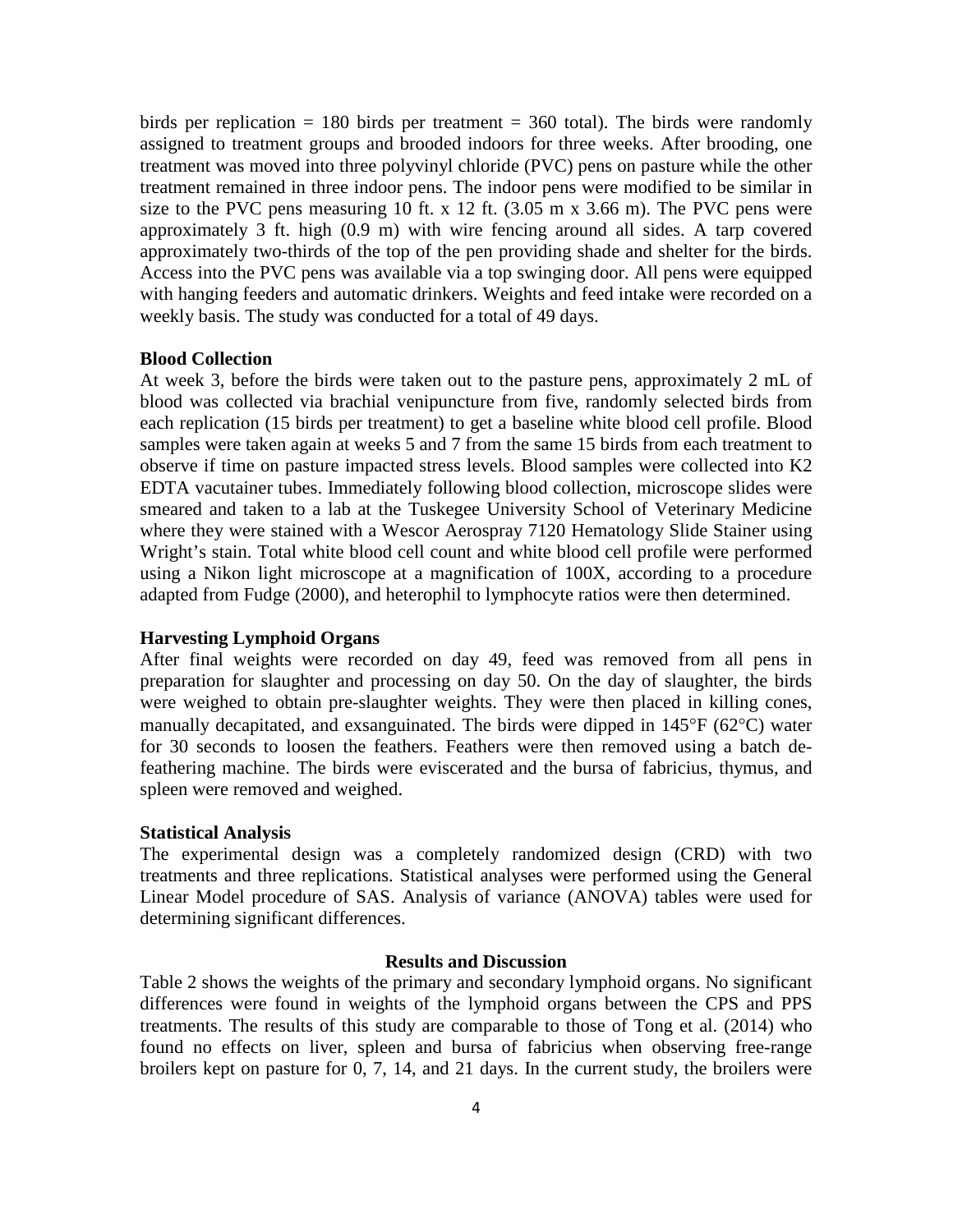birds per replication  $= 180$  birds per treatment  $= 360$  total). The birds were randomly assigned to treatment groups and brooded indoors for three weeks. After brooding, one treatment was moved into three polyvinyl chloride (PVC) pens on pasture while the other treatment remained in three indoor pens. The indoor pens were modified to be similar in size to the PVC pens measuring 10 ft. x 12 ft. (3.05 m x 3.66 m). The PVC pens were approximately 3 ft. high (0.9 m) with wire fencing around all sides. A tarp covered approximately two-thirds of the top of the pen providing shade and shelter for the birds. Access into the PVC pens was available via a top swinging door. All pens were equipped with hanging feeders and automatic drinkers. Weights and feed intake were recorded on a weekly basis. The study was conducted for a total of 49 days.

## **Blood Collection**

At week 3, before the birds were taken out to the pasture pens, approximately 2 mL of blood was collected via brachial venipuncture from five, randomly selected birds from each replication (15 birds per treatment) to get a baseline white blood cell profile. Blood samples were taken again at weeks 5 and 7 from the same 15 birds from each treatment to observe if time on pasture impacted stress levels. Blood samples were collected into K2 EDTA vacutainer tubes. Immediately following blood collection, microscope slides were smeared and taken to a lab at the Tuskegee University School of Veterinary Medicine where they were stained with a Wescor Aerospray 7120 Hematology Slide Stainer using Wright's stain. Total white blood cell count and white blood cell profile were performed using a Nikon light microscope at a magnification of 100X, according to a procedure adapted from Fudge (2000), and heterophil to lymphocyte ratios were then determined.

## **Harvesting Lymphoid Organs**

After final weights were recorded on day 49, feed was removed from all pens in preparation for slaughter and processing on day 50. On the day of slaughter, the birds were weighed to obtain pre-slaughter weights. They were then placed in killing cones, manually decapitated, and exsanguinated. The birds were dipped in 145°F (62°C) water for 30 seconds to loosen the feathers. Feathers were then removed using a batch defeathering machine. The birds were eviscerated and the bursa of fabricius, thymus, and spleen were removed and weighed.

#### **Statistical Analysis**

The experimental design was a completely randomized design (CRD) with two treatments and three replications. Statistical analyses were performed using the General Linear Model procedure of SAS. Analysis of variance (ANOVA) tables were used for determining significant differences.

## **Results and Discussion**

Table 2 shows the weights of the primary and secondary lymphoid organs. No significant differences were found in weights of the lymphoid organs between the CPS and PPS treatments. The results of this study are comparable to those of Tong et al. (2014) who found no effects on liver, spleen and bursa of fabricius when observing free-range broilers kept on pasture for 0, 7, 14, and 21 days. In the current study, the broilers were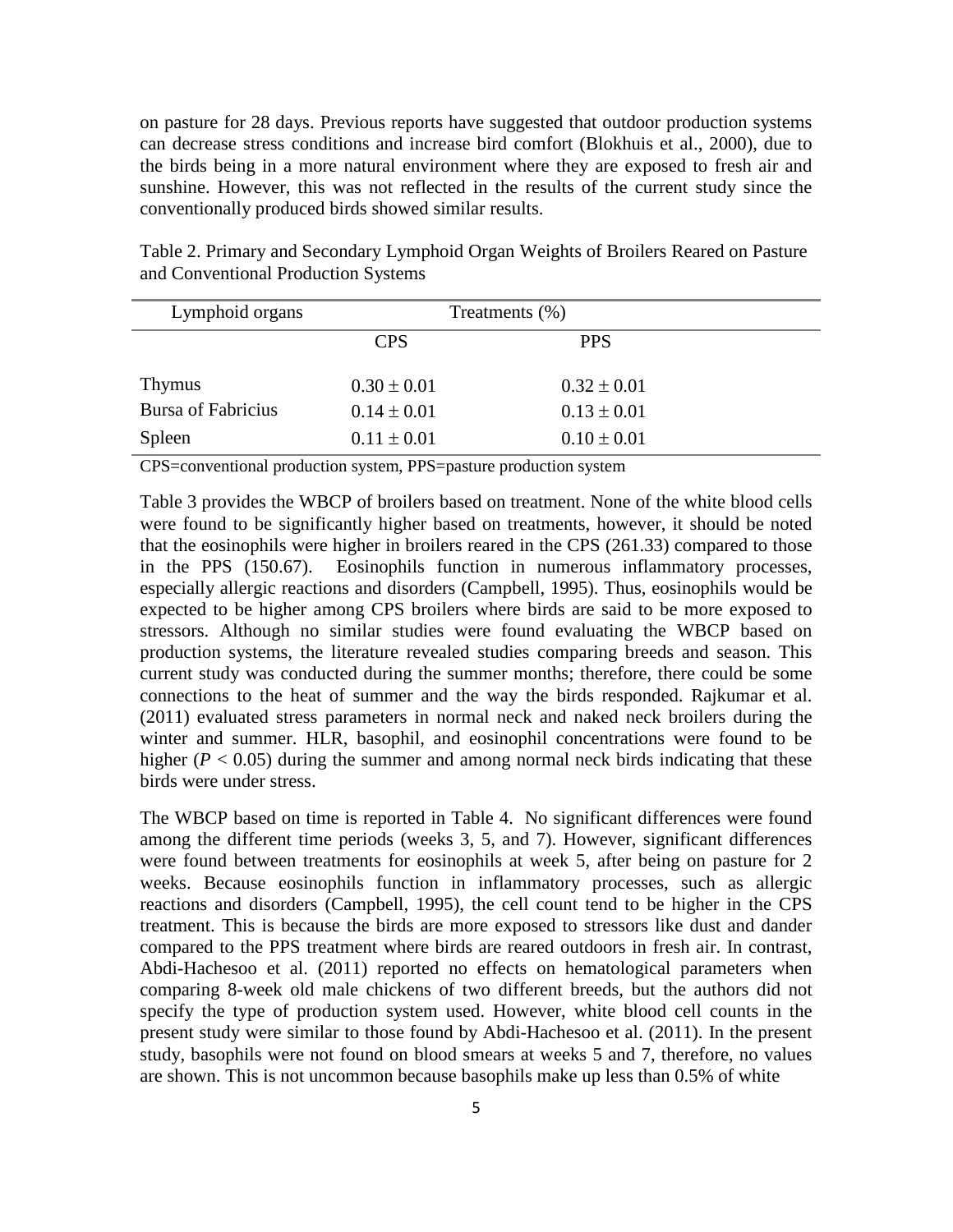on pasture for 28 days. Previous reports have suggested that outdoor production systems can decrease stress conditions and increase bird comfort (Blokhuis et al., 2000), due to the birds being in a more natural environment where they are exposed to fresh air and sunshine. However, this was not reflected in the results of the current study since the conventionally produced birds showed similar results.

Lymphoid organs Treatments (%) CPS PPS Thymus  $0.30 \pm 0.01$   $0.32 \pm 0.01$ Bursa of Fabricius  $0.14 \pm 0.01$   $0.13 \pm 0.01$ Spleen  $0.11 \pm 0.01$   $0.10 \pm 0.01$ 

Table 2. Primary and Secondary Lymphoid Organ Weights of Broilers Reared on Pasture and Conventional Production Systems

CPS=conventional production system, PPS=pasture production system

Table 3 provides the WBCP of broilers based on treatment. None of the white blood cells were found to be significantly higher based on treatments, however, it should be noted that the eosinophils were higher in broilers reared in the CPS (261.33) compared to those in the PPS (150.67). Eosinophils function in numerous inflammatory processes, especially allergic reactions and disorders (Campbell, 1995). Thus, eosinophils would be expected to be higher among CPS broilers where birds are said to be more exposed to stressors. Although no similar studies were found evaluating the WBCP based on production systems, the literature revealed studies comparing breeds and season. This current study was conducted during the summer months; therefore, there could be some connections to the heat of summer and the way the birds responded. Rajkumar et al. (2011) evaluated stress parameters in normal neck and naked neck broilers during the winter and summer. HLR, basophil, and eosinophil concentrations were found to be higher ( $P < 0.05$ ) during the summer and among normal neck birds indicating that these birds were under stress.

The WBCP based on time is reported in Table 4. No significant differences were found among the different time periods (weeks 3, 5, and 7). However, significant differences were found between treatments for eosinophils at week 5, after being on pasture for 2 weeks. Because eosinophils function in inflammatory processes, such as allergic reactions and disorders (Campbell, 1995), the cell count tend to be higher in the CPS treatment. This is because the birds are more exposed to stressors like dust and dander compared to the PPS treatment where birds are reared outdoors in fresh air. In contrast, Abdi-Hachesoo et al. (2011) reported no effects on hematological parameters when comparing 8-week old male chickens of two different breeds, but the authors did not specify the type of production system used. However, white blood cell counts in the present study were similar to those found by Abdi-Hachesoo et al. (2011). In the present study, basophils were not found on blood smears at weeks 5 and 7, therefore, no values are shown. This is not uncommon because basophils make up less than 0.5% of white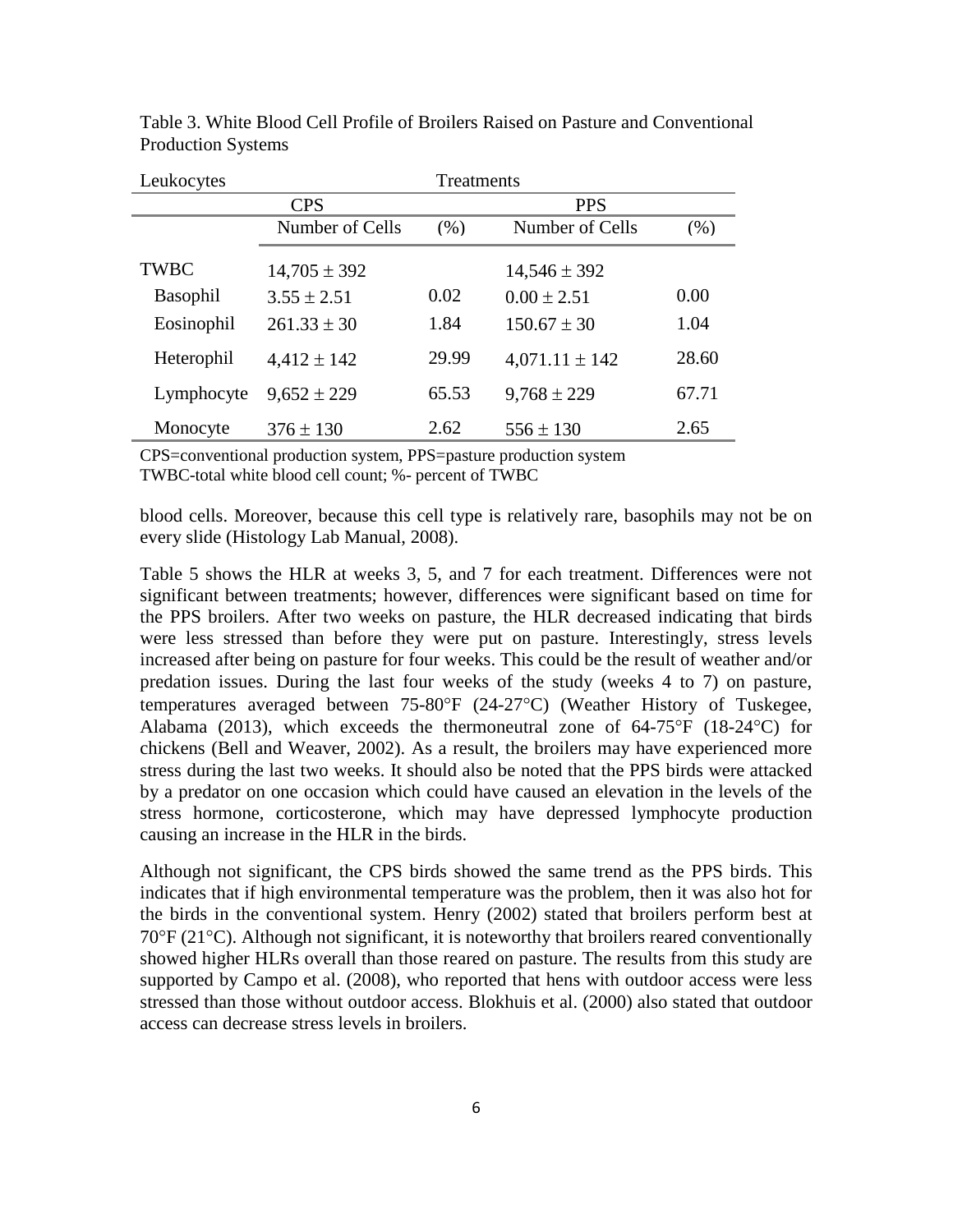| Leukocytes  | Treatments       |       |                    |       |
|-------------|------------------|-------|--------------------|-------|
|             | <b>CPS</b>       |       | <b>PPS</b>         |       |
|             | Number of Cells  | (% )  | Number of Cells    | (% )  |
| <b>TWBC</b> | $14,705 \pm 392$ |       | $14,546 \pm 392$   |       |
| Basophil    | $3.55 \pm 2.51$  | 0.02  | $0.00 \pm 2.51$    | 0.00  |
| Eosinophil  | $261.33 \pm 30$  | 1.84  | $150.67 \pm 30$    | 1.04  |
| Heterophil  | $4,412 \pm 142$  | 29.99 | $4,071.11 \pm 142$ | 28.60 |
| Lymphocyte  | $9,652 \pm 229$  | 65.53 | $9,768 \pm 229$    | 67.71 |
| Monocyte    | $376 \pm 130$    | 2.62  | $556 \pm 130$      | 2.65  |

Table 3. White Blood Cell Profile of Broilers Raised on Pasture and Conventional Production Systems

CPS=conventional production system, PPS=pasture production system TWBC-total white blood cell count; %- percent of TWBC

blood cells. Moreover, because this cell type is relatively rare, basophils may not be on every slide (Histology Lab Manual, 2008).

Table 5 shows the HLR at weeks 3, 5, and 7 for each treatment. Differences were not significant between treatments; however, differences were significant based on time for the PPS broilers. After two weeks on pasture, the HLR decreased indicating that birds were less stressed than before they were put on pasture. Interestingly, stress levels increased after being on pasture for four weeks. This could be the result of weather and/or predation issues. During the last four weeks of the study (weeks 4 to 7) on pasture, temperatures averaged between 75-80°F (24-27°C) (Weather History of Tuskegee, Alabama (2013), which exceeds the thermoneutral zone of  $64-75^{\circ}F$  (18-24 $^{\circ}C$ ) for chickens (Bell and Weaver, 2002). As a result, the broilers may have experienced more stress during the last two weeks. It should also be noted that the PPS birds were attacked by a predator on one occasion which could have caused an elevation in the levels of the stress hormone, corticosterone, which may have depressed lymphocyte production causing an increase in the HLR in the birds.

Although not significant, the CPS birds showed the same trend as the PPS birds. This indicates that if high environmental temperature was the problem, then it was also hot for the birds in the conventional system. Henry (2002) stated that broilers perform best at 70°F (21°C). Although not significant, it is noteworthy that broilers reared conventionally showed higher HLRs overall than those reared on pasture. The results from this study are supported by Campo et al. (2008), who reported that hens with outdoor access were less stressed than those without outdoor access. Blokhuis et al. (2000) also stated that outdoor access can decrease stress levels in broilers.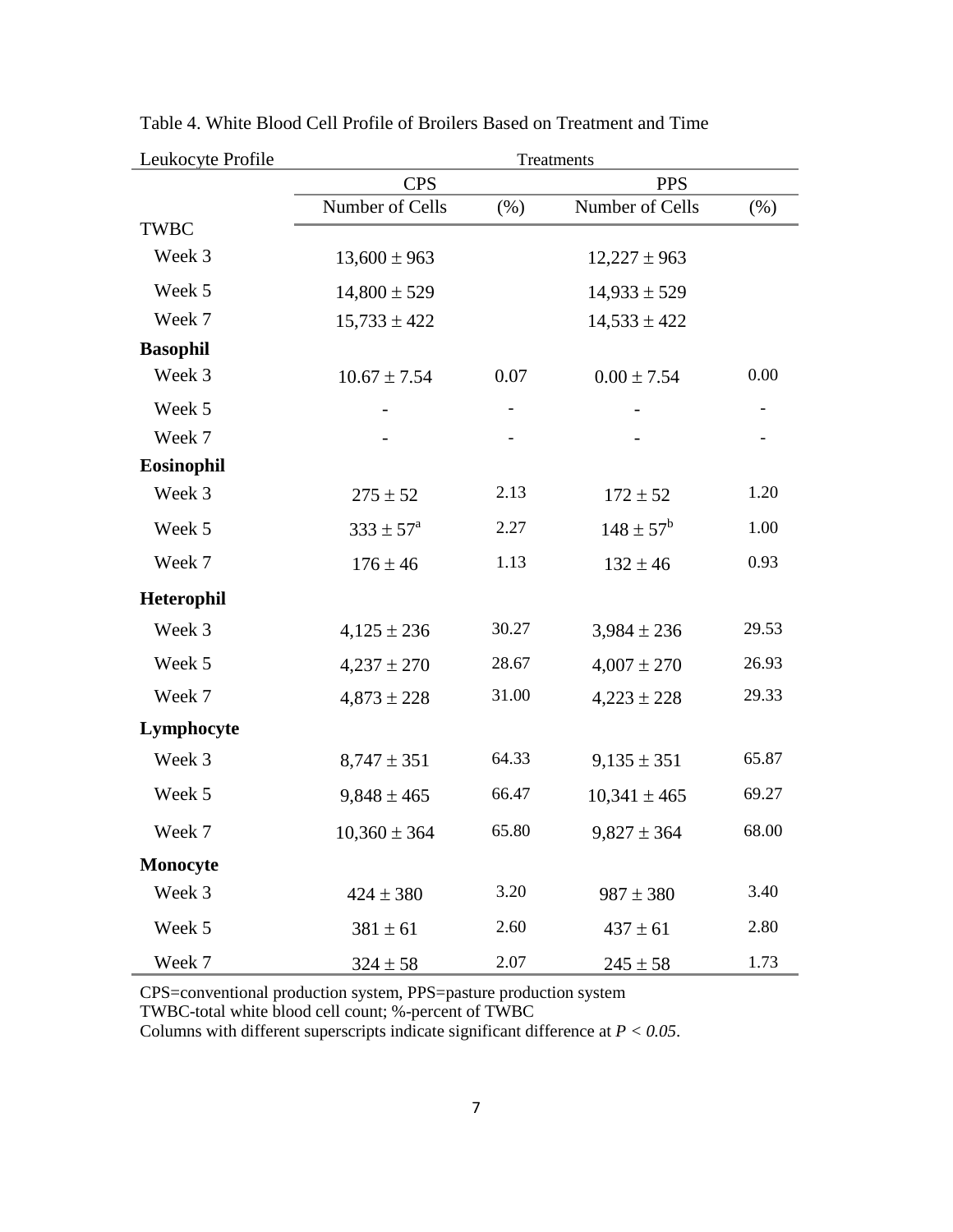| Leukocyte Profile | Treatments               |       |                      |        |
|-------------------|--------------------------|-------|----------------------|--------|
|                   | <b>CPS</b><br><b>PPS</b> |       |                      |        |
|                   | Number of Cells          | (% )  | Number of Cells      | $(\%)$ |
| <b>TWBC</b>       |                          |       |                      |        |
| Week 3            | $13,600 \pm 963$         |       | $12,227 \pm 963$     |        |
| Week 5            | $14,800 \pm 529$         |       | $14,933 \pm 529$     |        |
| Week 7            | $15,733 \pm 422$         |       | $14,533 \pm 422$     |        |
| <b>Basophil</b>   |                          |       |                      |        |
| Week 3            | $10.67 \pm 7.54$         | 0.07  | $0.00 \pm 7.54$      | 0.00   |
| Week 5            |                          |       |                      |        |
| Week 7            |                          |       |                      |        |
| Eosinophil        |                          |       |                      |        |
| Week 3            | $275 \pm 52$             | 2.13  | $172 \pm 52$         | 1.20   |
| Week 5            | $333 \pm 57^{\circ}$     | 2.27  | $148 \pm 57^{\rm b}$ | 1.00   |
| Week 7            | $176 \pm 46$             | 1.13  | $132 \pm 46$         | 0.93   |
| Heterophil        |                          |       |                      |        |
| Week 3            | $4,125 \pm 236$          | 30.27 | $3,984 \pm 236$      | 29.53  |
| Week 5            | $4,237 \pm 270$          | 28.67 | $4,007 \pm 270$      | 26.93  |
| Week 7            | $4,873 \pm 228$          | 31.00 | $4,223 \pm 228$      | 29.33  |
| Lymphocyte        |                          |       |                      |        |
| Week 3            | $8,747 \pm 351$          | 64.33 | $9,135 \pm 351$      | 65.87  |
| Week 5            | $9,848 \pm 465$          | 66.47 | $10,341 \pm 465$     | 69.27  |
| Week 7            | $10,360 \pm 364$         | 65.80 | $9,827 \pm 364$      | 68.00  |
| Monocyte          |                          |       |                      |        |
| Week 3            | $424 \pm 380$            | 3.20  | $987 \pm 380$        | 3.40   |
| Week 5            | $381 \pm 61$             | 2.60  | $437 \pm 61$         | 2.80   |
| Week 7            | $324 \pm 58$             | 2.07  | $245 \pm 58$         | 1.73   |

Table 4. White Blood Cell Profile of Broilers Based on Treatment and Time

CPS=conventional production system, PPS=pasture production system

TWBC-total white blood cell count; %-percent of TWBC

Columns with different superscripts indicate significant difference at *P < 0.05*.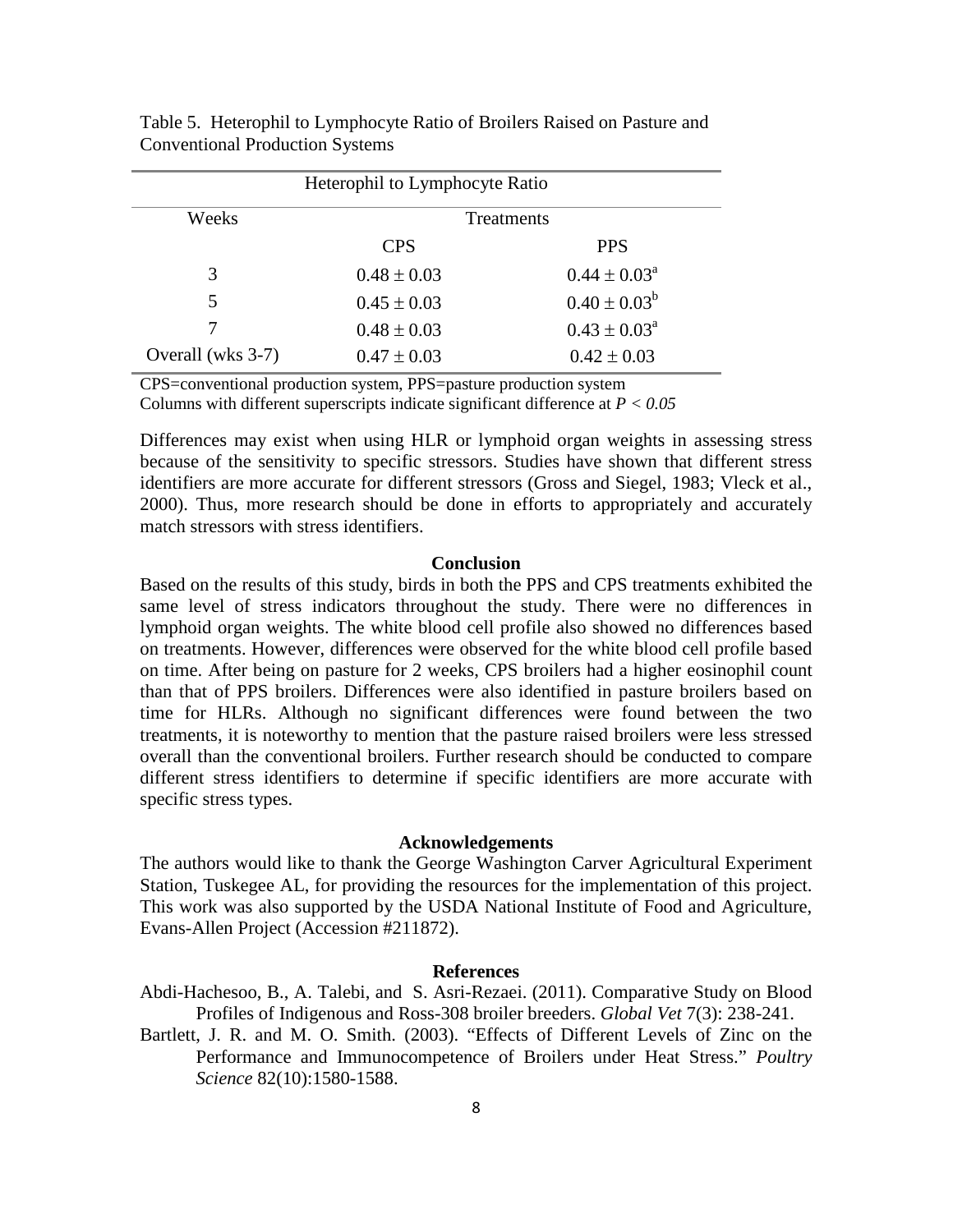| Heterophil to Lymphocyte Ratio |                   |                         |  |  |
|--------------------------------|-------------------|-------------------------|--|--|
| Weeks                          | <b>Treatments</b> |                         |  |  |
|                                | <b>CPS</b>        | <b>PPS</b>              |  |  |
| 3                              | $0.48 \pm 0.03$   | $0.44 \pm 0.03^{\circ}$ |  |  |
| 5                              | $0.45 \pm 0.03$   | $0.40 \pm 0.03^b$       |  |  |
|                                | $0.48 \pm 0.03$   | $0.43 \pm 0.03^{\circ}$ |  |  |
| Overall (wks 3-7)              | $0.47 \pm 0.03$   | $0.42 \pm 0.03$         |  |  |

Table 5. Heterophil to Lymphocyte Ratio of Broilers Raised on Pasture and Conventional Production Systems

CPS=conventional production system, PPS=pasture production system

Columns with different superscripts indicate significant difference at *P < 0.05*

Differences may exist when using HLR or lymphoid organ weights in assessing stress because of the sensitivity to specific stressors. Studies have shown that different stress identifiers are more accurate for different stressors (Gross and Siegel, 1983; Vleck et al., 2000). Thus, more research should be done in efforts to appropriately and accurately match stressors with stress identifiers.

## **Conclusion**

Based on the results of this study, birds in both the PPS and CPS treatments exhibited the same level of stress indicators throughout the study. There were no differences in lymphoid organ weights. The white blood cell profile also showed no differences based on treatments. However, differences were observed for the white blood cell profile based on time. After being on pasture for 2 weeks, CPS broilers had a higher eosinophil count than that of PPS broilers. Differences were also identified in pasture broilers based on time for HLRs. Although no significant differences were found between the two treatments, it is noteworthy to mention that the pasture raised broilers were less stressed overall than the conventional broilers. Further research should be conducted to compare different stress identifiers to determine if specific identifiers are more accurate with specific stress types.

#### **Acknowledgements**

The authors would like to thank the George Washington Carver Agricultural Experiment Station, Tuskegee AL, for providing the resources for the implementation of this project. This work was also supported by the USDA National Institute of Food and Agriculture, Evans-Allen Project (Accession #211872).

## **References**

Abdi-Hachesoo, B., A. Talebi, and S. Asri-Rezaei. (2011). Comparative Study on Blood Profiles of Indigenous and Ross-308 broiler breeders. *Global Vet* 7(3): 238-241.

Bartlett, J. R. and M. O. Smith. (2003). "Effects of Different Levels of Zinc on the Performance and Immunocompetence of Broilers under Heat Stress." *Poultry Science* 82(10):1580-1588.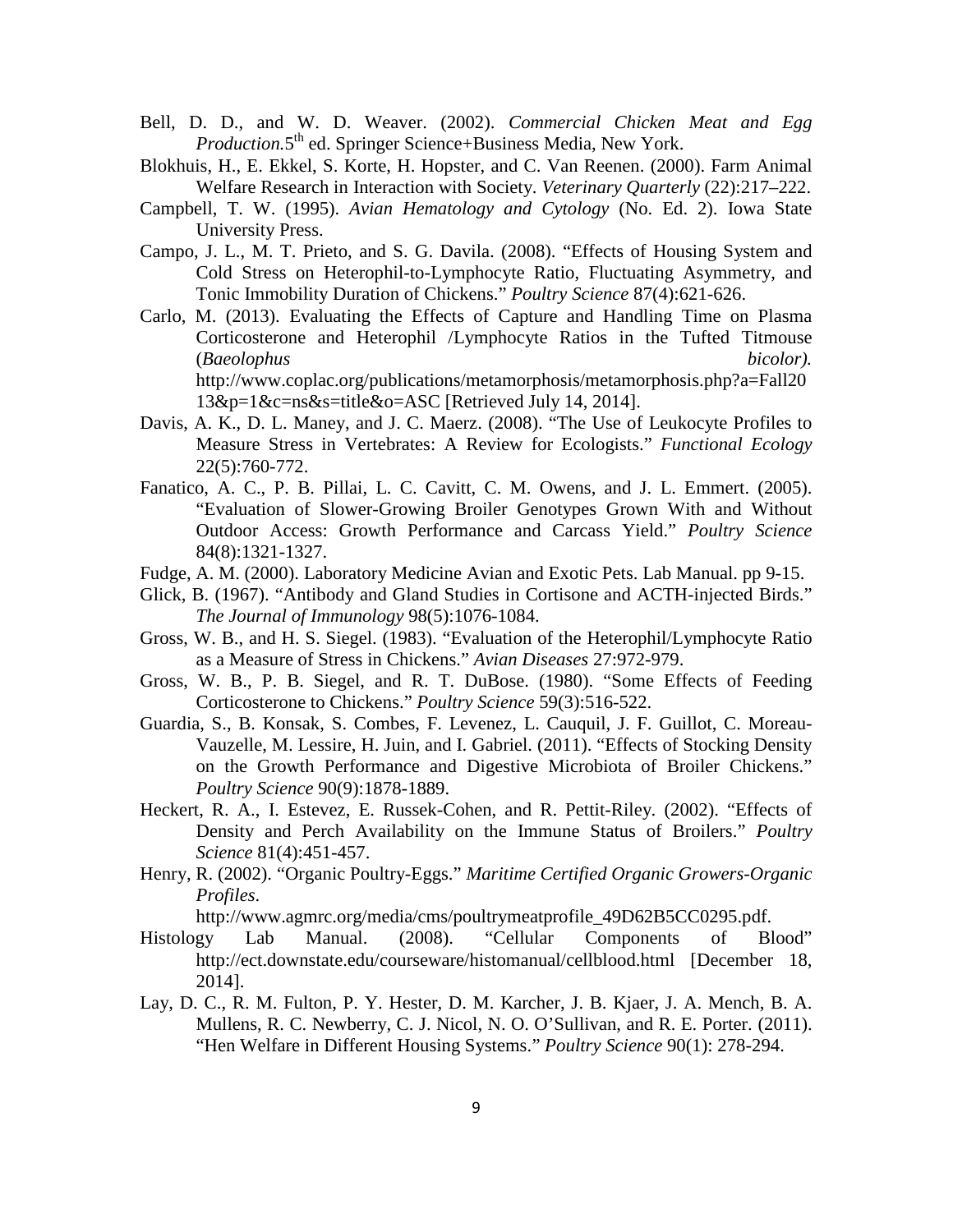- Bell, D. D., and W. D. Weaver. (2002). *Commercial Chicken Meat and Egg Production.*5<sup>th</sup> ed. Springer Science+Business Media, New York.
- Blokhuis, H., E. Ekkel, S. Korte, H. Hopster, and C. Van Reenen. (2000). Farm Animal Welfare Research in Interaction with Society. *Veterinary Quarterly* (22):217–222.
- Campbell, T. W. (1995). *Avian Hematology and Cytology* (No. Ed. 2). Iowa State University Press.
- Campo, J. L., M. T. Prieto, and S. G. Davila. (2008). "Effects of Housing System and Cold Stress on Heterophil-to-Lymphocyte Ratio, Fluctuating Asymmetry, and Tonic Immobility Duration of Chickens." *Poultry Science* 87(4):621-626.
- Carlo, M. (2013). Evaluating the Effects of Capture and Handling Time on Plasma Corticosterone and Heterophil /Lymphocyte Ratios in the Tufted Titmouse (*Baeolophus bicolor).*  http://www.coplac.org/publications/metamorphosis/metamorphosis.php?a=Fall20 13&p=1&c=ns&s=title&o=ASC [Retrieved July 14, 2014].
- Davis, A. K., D. L. Maney, and J. C. Maerz. (2008). "The Use of Leukocyte Profiles to Measure Stress in Vertebrates: A Review for Ecologists." *Functional Ecology* 22(5):760-772.
- Fanatico, A. C., P. B. Pillai, L. C. Cavitt, C. M. Owens, and J. L. Emmert. (2005). "Evaluation of Slower-Growing Broiler Genotypes Grown With and Without Outdoor Access: Growth Performance and Carcass Yield." *Poultry Science* 84(8):1321-1327.
- Fudge, A. M. (2000). Laboratory Medicine Avian and Exotic Pets. Lab Manual. pp 9-15.
- Glick, B. (1967). "Antibody and Gland Studies in Cortisone and ACTH-injected Birds." *The Journal of Immunology* 98(5):1076-1084.
- Gross, W. B., and H. S. Siegel. (1983). "Evaluation of the Heterophil/Lymphocyte Ratio as a Measure of Stress in Chickens." *Avian Diseases* 27:972-979.
- Gross, W. B., P. B. Siegel, and R. T. DuBose. (1980). "Some Effects of Feeding Corticosterone to Chickens." *Poultry Science* 59(3):516-522.
- Guardia, S., B. Konsak, S. Combes, F. Levenez, L. Cauquil, J. F. Guillot, C. Moreau-Vauzelle, M. Lessire, H. Juin, and I. Gabriel. (2011). "Effects of Stocking Density on the Growth Performance and Digestive Microbiota of Broiler Chickens." *Poultry Science* 90(9):1878-1889.
- Heckert, R. A., I. Estevez, E. Russek-Cohen, and R. Pettit-Riley. (2002). "Effects of Density and Perch Availability on the Immune Status of Broilers." *Poultry Science* 81(4):451-457.
- Henry, R. (2002). "Organic Poultry-Eggs." *Maritime Certified Organic Growers-Organic Profiles*.

[http://www.agmrc.org/media/cms/poultrymeatprofile\\_49D62B5CC0295.pdf.](http://www.agmrc.org/media/cms/poultrymeatprofile_49D62B5CC0295.pdf)

- Histology Lab Manual. (2008). "Cellular Components of Blood" <http://ect.downstate.edu/courseware/histomanual/cellblood.html> [December 18, 2014].
- Lay, D. C., R. M. Fulton, P. Y. Hester, D. M. Karcher, J. B. Kjaer, J. A. Mench, B. A. Mullens, R. C. Newberry, C. J. Nicol, N. O. O'Sullivan, and R. E. Porter. (2011). "Hen Welfare in Different Housing Systems." *Poultry Science* 90(1): 278-294.